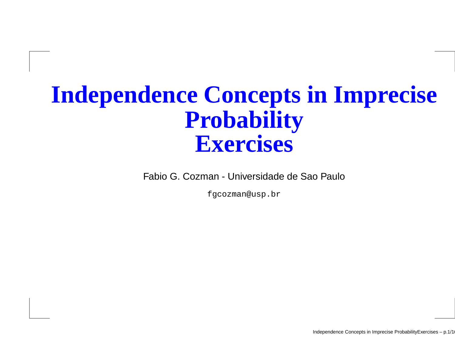# **Independence Concepts in ImpreciseProbabilityExercises**

Fabio G. Cozman - Universidade de Sao Paulo

fgcozman@usp.br

Independence Concepts in Imprecise ProbabilityExercises – p.1/16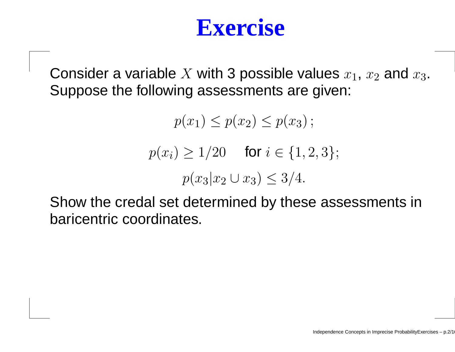Consider a variable  $X$  with 3 possible values  $x_1, \, x_2$  and  $x_3.$ Suppose the following assessments are given:

> $p(x_1) \leq p(x_2) \leq p(x_3)$ ;  $p(x_i) \ge 1/20$  for  $i \in \{1, 2, 3\};$  $p(x_3|x_2\cup x_3)\leq 3/4.$

Show the credal set determined by these assessments inbaricentric coordinates.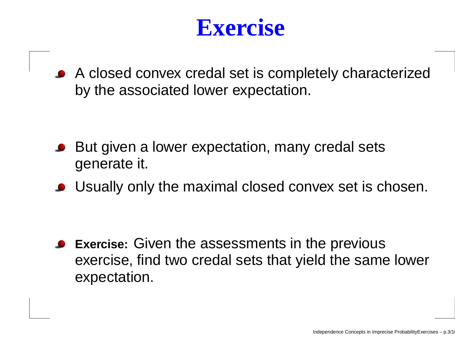A closed convex credal set is completely characterizedby the associated lower expectation.

- But given <sup>a</sup> lower expectation, many credal setsgenerate it.
- Usually only the maximal closed convex set is chosen.

**Exercise:** Given the assessments in the previous exercise, find two credal sets that yield the same lowerexpectation.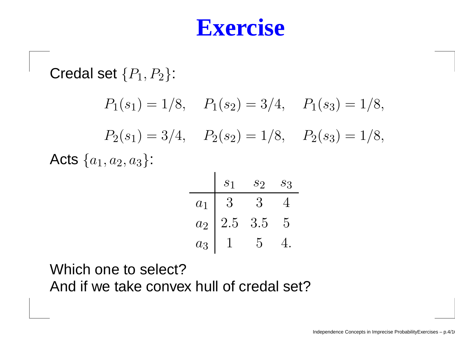Credal set  $\{P_1, P_2\}$ :  $P_1(s_1) = 1/8$ ,  $P_1(s_2) = 3/4$ ,  $P_1(s_3) = 1/8$ ,  $P_2(s_1) = 3/4$ ,  $P_2(s_2) = 1/8$ ,  $P_2(s_3) = 1/8$ , Acts  $\{a_1,a_2,a_3\}$ :

|       | S <sub>1</sub> | $\mathcal{S}2$      | $S_{3}$ |
|-------|----------------|---------------------|---------|
| $a_1$ | 3              | $\ddot{\bm{\cdot}}$ |         |
| $a_2$ | $2.5\,$        | 3.5                 | 5       |
| $a_3$ |                | 5                   |         |

Which one to select?And if we take convex hull of credal set?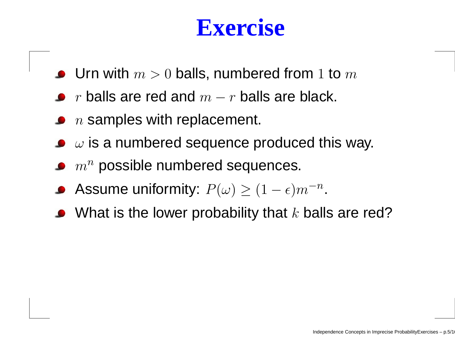- Urn with  $m > 0$  balls, numbered from  $1$  to  $m$
- $r$  balls are red and  $m-r$  balls are black.
- $\,n$  samples with replacement.
- $\omega$  is a numbered sequence produced this way.
- $m^{\bm n}$  possible numbered sequences.
- Assume uniformity:  $P(\omega) \ge (1 \epsilon) m^{-n}$ .
- What is the lower probability that  $k$  balls are red?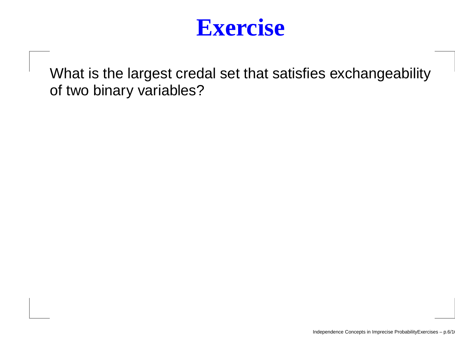

What is the largest credal set that satisfies exchangeabilityof two binary variables?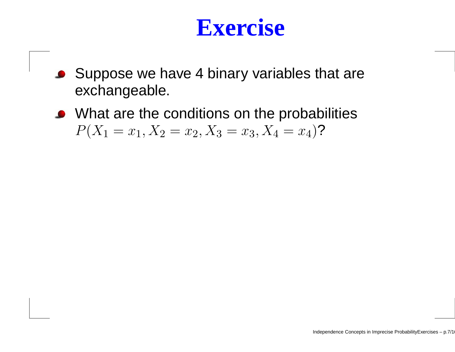- Suppose we have <sup>4</sup> binary variables that are $\bullet$ exchangeable.
- What are the conditions on the probabilities  $P(X_1 = x_1, X_2 = x_2, X_3 = x_3, X_4 = x_4)$ ?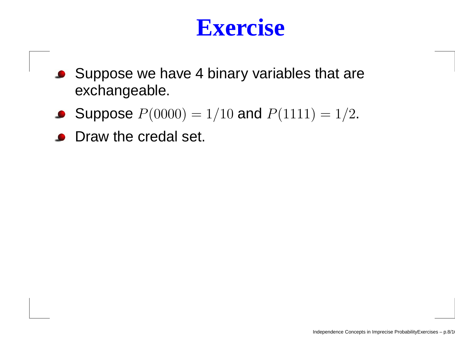- Suppose we have 4 binary variables that are exchangeable.
- Suppose  $P(0000) = 1/10$  and  $P(1111) = 1/2$ .
- **Draw the credal set.**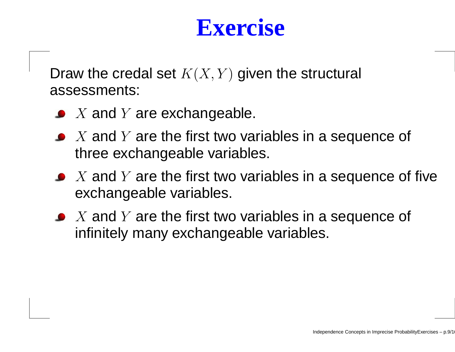Draw the credal set  $K(X,Y)$  given the structural assessments:

- $X$  and  $Y$  are exchangeable.
- $X$  and  $Y$  are the first two variables in a sequence of  $k$ three exchangeable variables.
- $X$  and  $Y$  are the first two variables in a sequence of five<br>exchangeable veriables exchangeable variables.
- $X$  and  $Y$  are the first two variables in a sequence of  $X$ infinitely many exchangeable variables.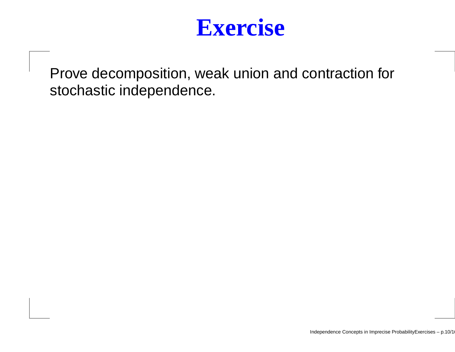

Prove decomposition, weak union and contraction forstochastic independence.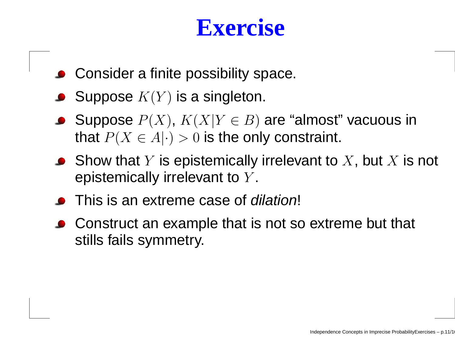- **Consider a finite possibility space.**
- Suppose  $K(Y)$  is a singleton.
- Suppose  $P(X)$ ,  $K(X|Y \in B)$  are "almost" vacuous in that  $P(X \in A|\cdot) > 0$  is the only constraint.
- Show that  $Y$  is epistemically irrelevant to  $X$ , but  $X$  is not<br>enistemically irrelevant to  $Y$ epistemically irrelevant to  $Y.$
- **This is an extreme case of** *dilation***!**
- Construct an example that is not so extreme but that stills fails symmetry.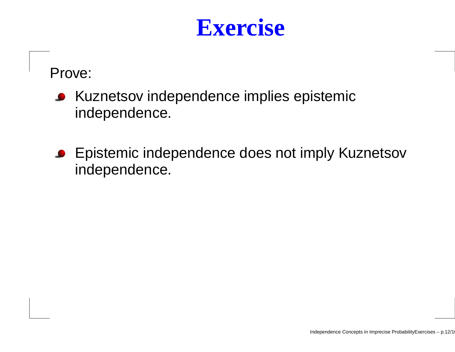Prove:

- Kuznetsov independence implies epistemicindependence.
- **Epistemic independence does not imply Kuznetsov** independence.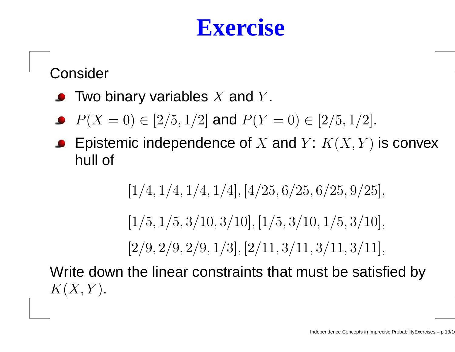Consider

- Two binary variables  $X$  and  $Y$ .
- $P(X = 0) \in [2/5, 1/2]$  and  $P(Y = 0) \in [2/5, 1/2]$ .
- Epistemic independence of  $X$  and  $Y\colon K(X,Y)$  is convex<br>bull of hull of

 $[1/4, 1/4, 1/4, 1/4], [4/25, 6/25, 6/25, 9/25],$ 

 $[1/5, 1/5, 3/10, 3/10], [1/5, 3/10, 1/5, 3/10],$ 

 $[2/9, 2/9, 2/9, 1/3], [2/11, 3/11, 3/11, 3/11], \$ 

Write down the linear constraints that must be satisfied by $K(X,Y)$ .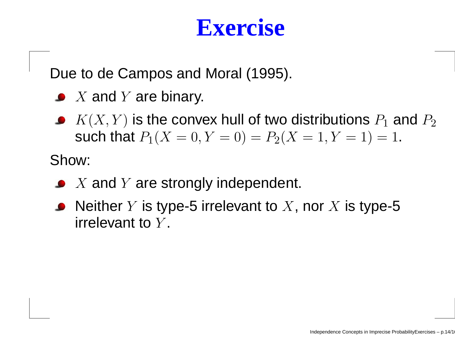Due to de Campos and Moral (1995).

- $X$  and  $Y$  are binary.
- $K(X,Y)$  is the convex hull of two distributions  $P_1$  and  $P_2$ such that  $P_1(X = 0, Y = 0) = P_2(X = 1, Y = 1) = 1$ .

Show:

- $X$  and  $Y$  are strongly independent.
- Neither  $Y$  is type-5 irrelevant to  $X,$  nor  $X$  is type-5  $\mathop{\sf irrel}\nolimits_\mathbf{C}$ irrelevant to  $Y$ .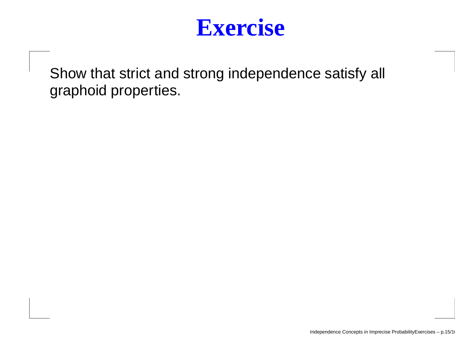

Show that strict and strong independence satisfy all graphoid properties.